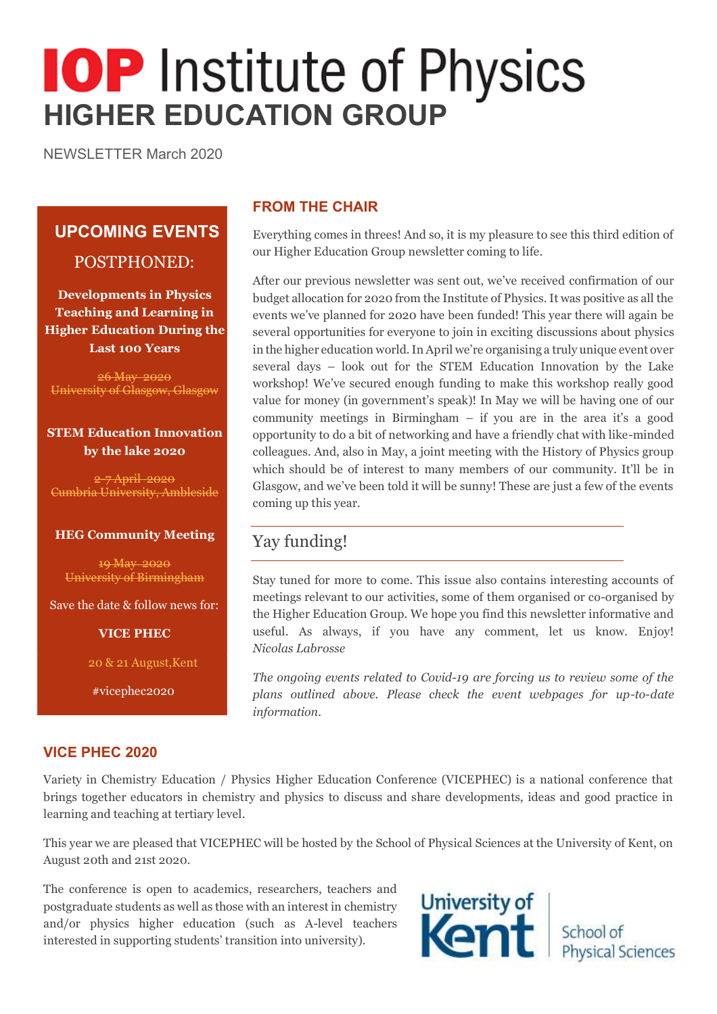# **IOP** Institute of Physics **HIGHER EDUCATION GROUP**

NEWSLETTER March 2020

## **UPCOMING EVENTS** POSTPHONED:

**Developments in Physics Teaching and Learning in Higher Education During the Last 100 Years**

26 May 2020 University of Glasgow, Glasgow

#### **STEM Education Innovation by the lake 2020**

2-7 April 2020 Cumbria University, Ambleside

#### **HEG Community Meeting**

19 May 2020 University of Birmingham

Save the date & follow news for:

**VICE PHEC**

20 & 21 August,Kent

#vicephec2020

#### **FROM THE CHAIR**

Everything comes in threes! And so, it is my pleasure to see this third edition of our Higher Education Group newsletter coming to life.

After our previous newsletter was sent out, we've received confirmation of our budget allocation for 2020 from the Institute of Physics. It was positive as all the events we've planned for 2020 have been funded! This year there will again be several opportunities for everyone to join in exciting discussions about physics in the higher education world. In April we're organising a truly unique event over several days – look out for the STEM Education Innovation by the Lake workshop! We've secured enough funding to make this workshop really good value for money (in government's speak)! In May we will be having one of our community meetings in Birmingham – if you are in the area it's a good opportunity to do a bit of networking and have a friendly chat with like-minded colleagues. And, also in May, a joint meeting with the History of Physics group which should be of interest to many members of our community. It'll be in Glasgow, and we've been told it will be sunny! These are just a few of the events coming up this year.

## Yay funding!

Stay tuned for more to come. This issue also contains interesting accounts of meetings relevant to our activities, some of them organised or co-organised by the Higher Education Group. We hope you find this newsletter informative and useful. As always, if you have any comment, let us know. Enjoy! *Nicolas Labrosse*

*The ongoing events related to Covid-19 are forcing us to review some of the plans outlined above. Please check the event webpages for up-to-date information.*

#### **VICE PHEC 2020**

Variety in Chemistry Education / Physics Higher Education Conference (VICEPHEC) is a national conference that brings together educators in chemistry and physics to discuss and share developments, ideas and good practice in learning and teaching at tertiary level.

This year we are pleased that VICEPHEC will be hosted by the School of Physical Sciences at the University of Kent, on August 20th and 21st 2020.

The conference is open to academics, researchers, teachers and postgraduate students as well as those with an interest in chemistry and/or physics higher education (such as A-level teachers interested in supporting students' transition into university).

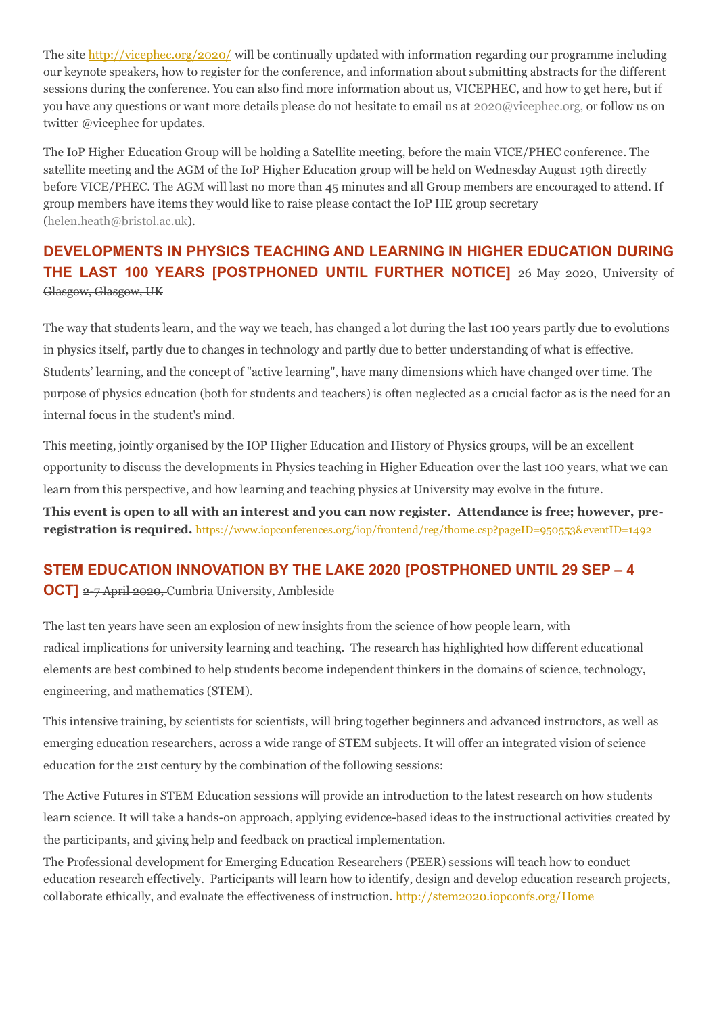The site <http://vicephec.org/2020/> will be continually updated with information regarding our programme including our keynote speakers, how to register for the conference, and information about submitting abstracts for the different sessions during the conference. You can also find more information about us, VICEPHEC, and how to get here, but if you have any questions or want more details please do not hesitate to email us at 2020@vicephec.org, or follow us on twitter @vicephec for updates.

The IoP Higher Education Group will be holding a Satellite meeting, before the main VICE/PHEC conference. The satellite meeting and the AGM of the IoP Higher Education group will be held on Wednesday August 19th directly before VICE/PHEC. The AGM will last no more than 45 minutes and all Group members are encouraged to attend. If group members have items they would like to raise please contact the IoP HE group secretary (helen.heath@bristol.ac.uk).

### **DEVELOPMENTS IN PHYSICS TEACHING AND LEARNING IN HIGHER EDUCATION DURING THE LAST 100 YEARS [POSTPHONED UNTIL FURTHER NOTICE]** 26 May 2020, University of Glasgow, Glasgow, UK

The way that students learn, and the way we teach, has changed a lot during the last 100 years partly due to evolutions in physics itself, partly due to changes in technology and partly due to better understanding of what is effective. Students' learning, and the concept of "active learning", have many dimensions which have changed over time. The purpose of physics education (both for students and teachers) is often neglected as a crucial factor as is the need for an internal focus in the student's mind.

This meeting, jointly organised by the IOP Higher Education and History of Physics groups, will be an excellent opportunity to discuss the developments in Physics teaching in Higher Education over the last 100 years, what we can learn from this perspective, and how learning and teaching physics at University may evolve in the future.

**This event is open to all with an interest and you can now register. Attendance is free; however, preregistration is required.** <https://www.iopconferences.org/iop/frontend/reg/thome.csp?pageID=950553&eventID=1492>

#### **STEM EDUCATION INNOVATION BY THE LAKE 2020 [POSTPHONED UNTIL 29 SEP – 4**

**OCT**] 2-7 April 2020, Cumbria University, Ambleside

The last ten years have seen an explosion of new insights from the science of how people learn, with radical implications for university learning and teaching. The research has highlighted how different educational elements are best combined to help students become independent thinkers in the domains of science, technology, engineering, and mathematics (STEM).

This intensive training, by scientists for scientists, will bring together beginners and advanced instructors, as well as emerging education researchers, across a wide range of STEM subjects. It will offer an integrated vision of science education for the 21st century by the combination of the following sessions:

The Active Futures in STEM Education sessions will provide an introduction to the latest research on how students learn science. It will take a hands-on approach, applying evidence-based ideas to the instructional activities created by the participants, and giving help and feedback on practical implementation.

The Professional development for Emerging Education Researchers (PEER) sessions will teach how to conduct education research effectively. Participants will learn how to identify, design and develop education research projects, collaborate ethically, and evaluate the effectiveness of instruction. <http://stem2020.iopconfs.org/Home>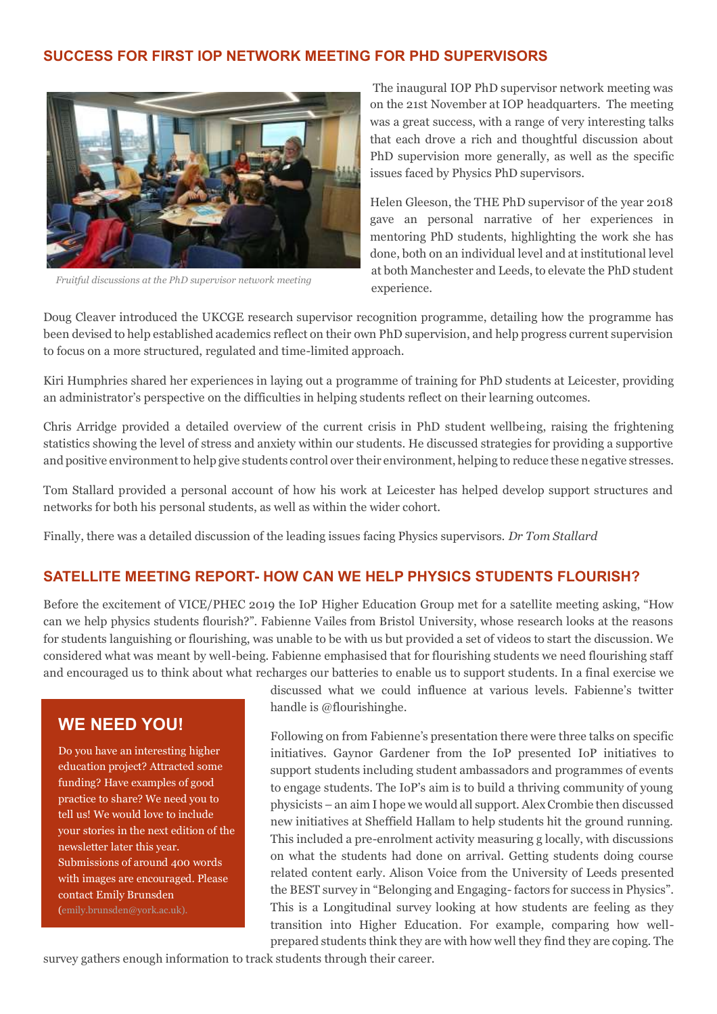#### **SUCCESS FOR FIRST IOP NETWORK MEETING FOR PHD SUPERVISORS**



*Fruitful discussions at the PhD supervisor network meeting*

The inaugural IOP PhD supervisor network meeting was on the 21st November at IOP headquarters. The meeting was a great success, with a range of very interesting talks that each drove a rich and thoughtful discussion about PhD supervision more generally, as well as the specific issues faced by Physics PhD supervisors.

Helen Gleeson, the THE PhD supervisor of the year 2018 gave an personal narrative of her experiences in mentoring PhD students, highlighting the work she has done, both on an individual level and at institutional level at both Manchester and Leeds, to elevate the PhD student experience.

Doug Cleaver introduced the UKCGE research supervisor recognition programme, detailing how the programme has been devised to help established academics reflect on their own PhD supervision, and help progress current supervision to focus on a more structured, regulated and time-limited approach.

Kiri Humphries shared her experiences in laying out a programme of training for PhD students at Leicester, providing an administrator's perspective on the difficulties in helping students reflect on their learning outcomes.

Chris Arridge provided a detailed overview of the current crisis in PhD student wellbeing, raising the frightening statistics showing the level of stress and anxiety within our students. He discussed strategies for providing a supportive and positive environment to help give students control over their environment, helping to reduce these negative stresses.

Tom Stallard provided a personal account of how his work at Leicester has helped develop support structures and networks for both his personal students, as well as within the wider cohort.

Finally, there was a detailed discussion of the leading issues facing Physics supervisors. *Dr Tom Stallard*

#### **SATELLITE MEETING REPORT- HOW CAN WE HELP PHYSICS STUDENTS FLOURISH?**

Before the excitement of VICE/PHEC 2019 the IoP Higher Education Group met for a satellite meeting asking, "How can we help physics students flourish?". Fabienne Vailes from Bristol University, whose research looks at the reasons for students languishing or flourishing, was unable to be with us but provided a set of videos to start the discussion. We considered what was meant by well-being. Fabienne emphasised that for flourishing students we need flourishing staff and encouraged us to think about what recharges our batteries to enable us to support students. In a final exercise we

#### **WE NEED YOU!**

Do you have an interesting higher education project? Attracted some funding? Have examples of good practice to share? We need you to tell us! We would love to include your stories in the next edition of the newsletter later this year. Submissions of around 400 words with images are encouraged. Please contact Emily Brunsden

discussed what we could influence at various levels. Fabienne's twitter handle is @flourishinghe.

Following on from Fabienne's presentation there were three talks on specific initiatives. Gaynor Gardener from the IoP presented IoP initiatives to support students including student ambassadors and programmes of events to engage students. The IoP's aim is to build a thriving community of young physicists –an aim I hope we would all support. Alex Crombie then discussed new initiatives at Sheffield Hallam to help students hit the ground running. This included a pre-enrolment activity measuring g locally, with discussions on what the students had done on arrival. Getting students doing course related content early. Alison Voice from the University of Leeds presented the BEST survey in "Belonging and Engaging- factors for success in Physics". This is a Longitudinal survey looking at how students are feeling as they transition into Higher Education. For example, comparing how wellprepared students think they are with how well they find they are coping. The

survey gathers enough information to track students through their career.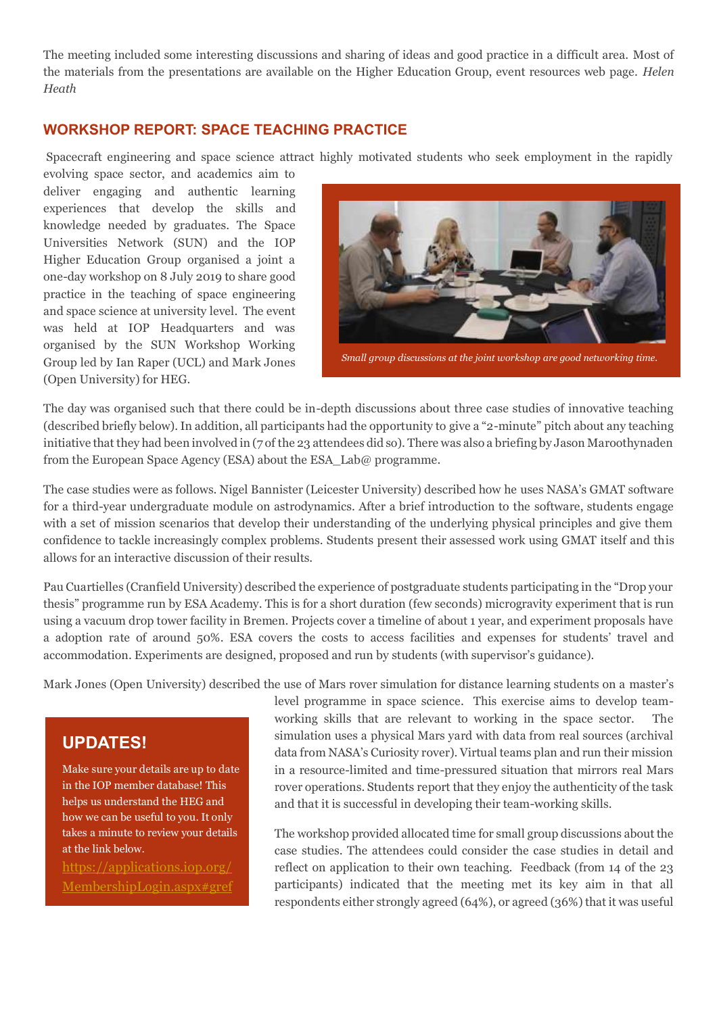The meeting included some interesting discussions and sharing of ideas and good practice in a difficult area. Most of the materials from the presentations are available on the Higher Education Group, event resources web page. *Helen Heath*

#### **WORKSHOP REPORT: SPACE TEACHING PRACTICE**

Spacecraft engineering and space science attract highly motivated students who seek employment in the rapidly

evolving space sector, and academics aim to deliver engaging and authentic learning experiences that develop the skills and knowledge needed by graduates. The Space Universities Network (SUN) and the IOP Higher Education Group organised a joint a one-day workshop on 8 July 2019 to share good practice in the teaching of space engineering and space science at university level. The event was held at IOP Headquarters and was organised by the SUN Workshop Working Group led by Ian Raper (UCL) and Mark Jones (Open University) for HEG.



*Small group discussions at the joint workshop are good networking time.*

The day was organised such that there could be in-depth discussions about three case studies of innovative teaching (described briefly below). In addition, all participants had the opportunity to give a "2-minute" pitch about any teaching initiative that they had been involved in (7 of the 23 attendees did so). There was also a briefing by Jason Maroothynaden from the European Space Agency (ESA) about the ESA Lab@ programme.

The case studies were as follows. Nigel Bannister (Leicester University) described how he uses NASA's GMAT software for a third-year undergraduate module on astrodynamics. After a brief introduction to the software, students engage with a set of mission scenarios that develop their understanding of the underlying physical principles and give them confidence to tackle increasingly complex problems. Students present their assessed work using GMAT itself and this allows for an interactive discussion of their results.

Pau Cuartielles (Cranfield University) described the experience of postgraduate students participating in the "Drop your thesis" programme run by ESA Academy. This is for a short duration (few seconds) microgravity experiment that is run using a vacuum drop tower facility in Bremen. Projects cover a timeline of about 1 year, and experiment proposals have a adoption rate of around 50%. ESA covers the costs to access facilities and expenses for students' travel and accommodation. Experiments are designed, proposed and run by students (with supervisor's guidance).

Mark Jones (Open University) described the use of Mars rover simulation for distance learning students on a master's

## **UPDATES!**

Make sure your details are up to date in the IOP member database! This helps us understand the HEG and how we can be useful to you. It only takes a minute to review your details at the link below.

[https://applications.iop.org/](https://applications.iop.org/MembershipLogin.aspx#gref) [MembershipLogin.aspx#gref](https://applications.iop.org/MembershipLogin.aspx#gref) level programme in space science. This exercise aims to develop teamworking skills that are relevant to working in the space sector. The simulation uses a physical Mars yard with data from real sources (archival data from NASA's Curiosity rover). Virtual teams plan and run their mission in a resource-limited and time-pressured situation that mirrors real Mars rover operations. Students report that they enjoy the authenticity of the task and that it is successful in developing their team-working skills.

The workshop provided allocated time for small group discussions about the case studies. The attendees could consider the case studies in detail and reflect on application to their own teaching. Feedback (from 14 of the 23 participants) indicated that the meeting met its key aim in that all respondents either strongly agreed (64%), or agreed (36%) that it was useful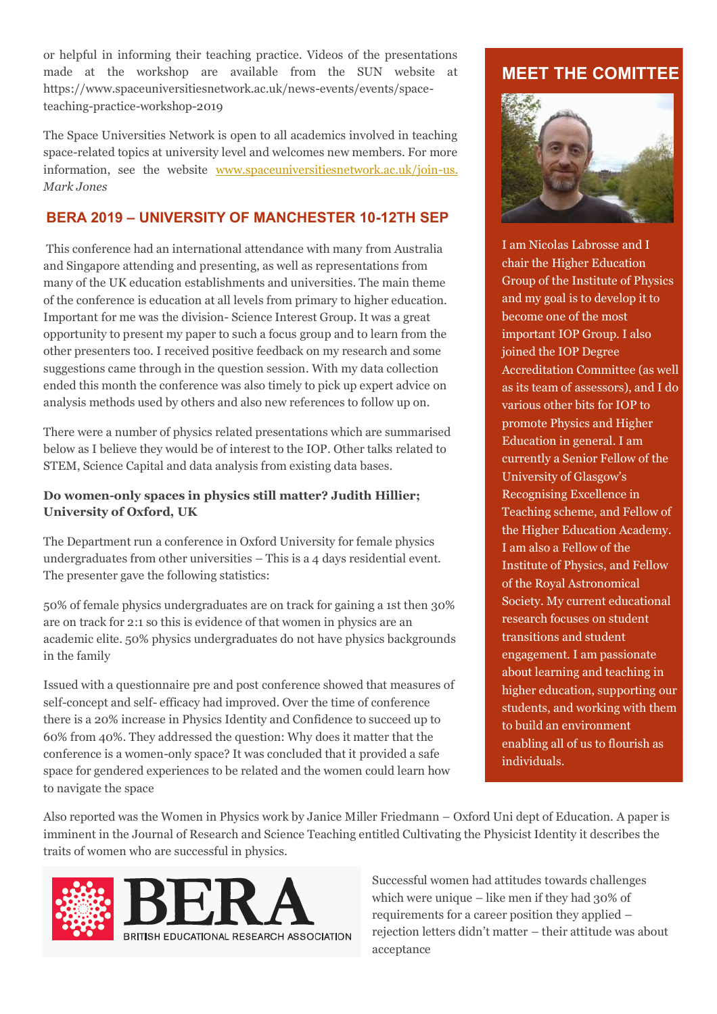or helpful in informing their teaching practice. Videos of the presentations made at the workshop are available from the SUN website at https://www.spaceuniversitiesnetwork.ac.uk/news-events/events/spaceteaching-practice-workshop-2019

The Space Universities Network is open to all academics involved in teaching space-related topics at university level and welcomes new members. For more information, see the website [www.spaceuniversitiesnetwork.ac.uk/join-us.](http://www.spaceuniversitiesnetwork.ac.uk/join-us) *Mark Jones*

#### **BERA 2019 – UNIVERSITY OF MANCHESTER 10-12TH SEP**

This conference had an international attendance with many from Australia and Singapore attending and presenting, as well as representations from many of the UK education establishments and universities. The main theme of the conference is education at all levels from primary to higher education. Important for me was the division- Science Interest Group. It was a great opportunity to present my paper to such a focus group and to learn from the other presenters too. I received positive feedback on my research and some suggestions came through in the question session. With my data collection ended this month the conference was also timely to pick up expert advice on analysis methods used by others and also new references to follow up on.

There were a number of physics related presentations which are summarised below as I believe they would be of interest to the IOP. Other talks related to STEM, Science Capital and data analysis from existing data bases.

#### **Do women-only spaces in physics still matter? Judith Hillier; University of Oxford, UK**

The Department run a conference in Oxford University for female physics undergraduates from other universities – This is a 4 days residential event. The presenter gave the following statistics:

50% of female physics undergraduates are on track for gaining a 1st then 30% are on track for 2:1 so this is evidence of that women in physics are an academic elite. 50% physics undergraduates do not have physics backgrounds in the family

Issued with a questionnaire pre and post conference showed that measures of self-concept and self- efficacy had improved. Over the time of conference there is a 20% increase in Physics Identity and Confidence to succeed up to 60% from 40%. They addressed the question: Why does it matter that the conference is a women-only space? It was concluded that it provided a safe space for gendered experiences to be related and the women could learn how to navigate the space

## **MEET THE COMITTEE**



I am Nicolas Labrosse and I chair the Higher Education Group of the Institute of Physics and my goal is to develop it to become one of the most important IOP Group. I also joined the IOP Degree Accreditation Committee (as well as its team of assessors), and I do various other bits for IOP to promote Physics and Higher Education in general. I am currently a Senior Fellow of the University of Glasgow's Recognising Excellence in Teaching scheme, and Fellow of the Higher Education Academy. I am also a Fellow of the Institute of Physics, and Fellow of the Royal Astronomical Society. My current educational research focuses on student transitions and student engagement. I am passionate about learning and teaching in higher education, supporting our students, and working with them to build an environment enabling all of us to flourish as individuals.

Also reported was the Women in Physics work by Janice Miller Friedmann – Oxford Uni dept of Education. A paper is imminent in the Journal of Research and Science Teaching entitled Cultivating the Physicist Identity it describes the traits of women who are successful in physics.



Successful women had attitudes towards challenges which were unique – like men if they had 30% of requirements for a career position they applied – rejection letters didn't matter – their attitude was about acceptance